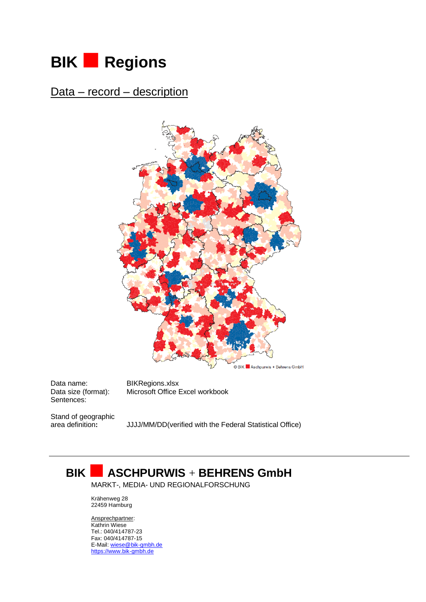## **BIK Regions**

Data – record – description



Data name: BIKRegions.xlsx Sentences:

Data size (format): Microsoft Office Excel workbook

Stand of geographic<br>area definition:

JJJJ/MM/DD(verified with the Federal Statistical Office)

## **BIK ASCHPURWIS** <sup>+</sup> **BEHRENS GmbH**

MARKT-, MEDIA- UND REGIONALFORSCHUNG

Krähenweg 28 22459 Hamburg

Ansprechpartner: Kathrin Wiese Tel.: 040/414787-23 Fax: 040/414787-15 E-Mail[: wiese@bik-gmbh.de](mailto:wiese@bik-gmbh.de) [https://www.bik-gmbh.de](http://www.bik-gmbh.de/)